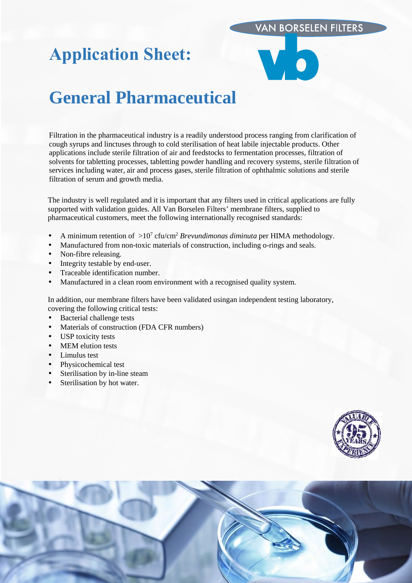# **VAN BORSELEN FILTERS**

# **Application Sheet:**



# **General Pharmaceutical**

Filtration in the pharmaceutical industry is a readily understood process ranging from clarification of cough syrups and linctuses through to cold sterilisation of heat labile injectable products. Other applications include sterile filtration of air and feedstocks to fermentation processes, filtration of solvents for tabletting processes, tabletting powder handling and recovery systems, sterile filtration of services including water, air and process gases, sterile filtration of ophthalmic solutions and sterile filtration of serum and growth media.

The industry is well regulated and it is important that any filters used in critical applications are fully supported with validation guides. All Van Borselen Filters' membrane filters, supplied to pharmaceutical customers, meet the following internationally recognised standards:

- A minimum retention of  $>10^7$  cfu/cm<sup>2</sup> *Brevundimonas diminuta* per HIMA methodology.
- Manufactured from non-toxic materials of construction, including o-rings and seals.
- Non-fibre releasing.
- Integrity testable by end-user.
- Traceable identification number.
- Manufactured in a clean room environment with a recognised quality system.

In addition, our membrane filters have been validated usingan independent testing laboratory, covering the following critical tests:

- Bacterial challenge tests
- Materials of construction (FDA CFR numbers)
- USP toxicity tests
- MEM elution tests
- Limulus test
- Physicochemical test
- Sterilisation by in-line steam
- Sterilisation by hot water.



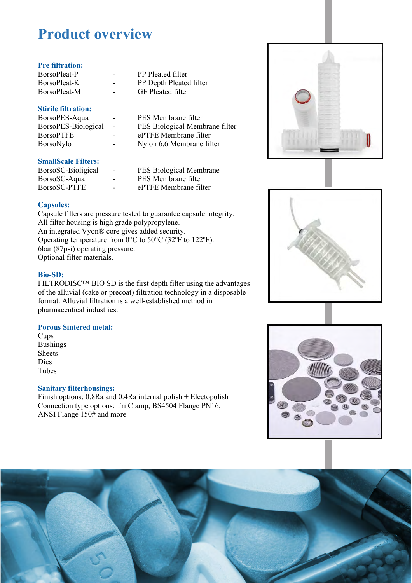# **Product overview**

# **Pre filtration:**

| BorsoPleat-P |  |
|--------------|--|
| BorsoPleat-K |  |
| BorsoPleat-M |  |

## **Stirile filtration:**

| BorsoPES-Aqua       |  |
|---------------------|--|
| BorsoPES-Biological |  |
| <b>BorsoPTFE</b>    |  |
| BorsoNylo           |  |

## **SmallScale Filters:**

| BorsoSC-Bioligical |  |
|--------------------|--|
| BorsoSC-Aqua       |  |
| BorsoSC-PTFE       |  |

- PP Pleated filter PP Depth Pleated filter
- GF Pleated filter

PES Membrane filter - PES Biological Membrane filter ePTFE Membrane filter

Nylon 6.6 Membrane filter

### PES Biological Membrane PES Membrane filter

ePTFE Membrane filter

# **Capsules:**

Capsule filters are pressure tested to guarantee capsule integrity. All filter housing is high grade polypropylene. An integrated Vyon® core gives added security. Operating temperature from 0°C to 50°C (32ºF to 122ºF). 6bar (87psi) operating pressure. Optional filter materials.

# **Bio-SD:**

FILTRODISC™ BIO SD is the first depth filter using the advantages of the alluvial (cake or precoat) filtration technology in a disposable format. Alluvial filtration is a well-established method in pharmaceutical industries.

# **Porous Sintered metal:**

Cups Bushings **Sheets** Dics Tubes

#### **Sanitary filterhousings:**

Finish options: 0.8Ra and 0.4Ra internal polish + Electopolish Connection type options: Tri Clamp, BS4504 Flange PN16, ANSI Flange 150# and more